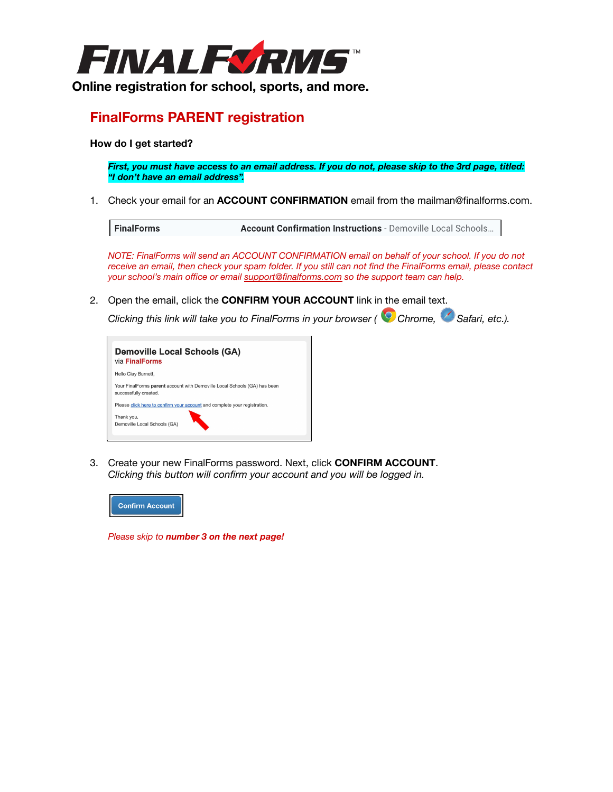

# **Online registration for school, sports, and more.**

### **FinalForms PARENT registration**

#### **How do I get started?**

*First, you must have access to an email address. If you do not, please skip to the 3rd page, titled: "I don't have an email address".*

1. Check your email for an **ACCOUNT CONFIRMATION** email from the mailman@finalforms.com.

```
FinalForms
                   Account Confirmation Instructions - Demoville Local Schools...
```
*NOTE: FinalForms will send an ACCOUNT CONFIRMATION email on behalf of your school. If you do not receive an email, then check your spam folder. If you still can not find the FinalForms email, please contact your school's main office or email [support@finalforms.com](mailto:support@finalforms.com) so the support team can help.*

2. Open the email, click the **CONFIRM YOUR ACCOUNT** link in the email text.

*Clicking this link will take you to FinalForms in your browser ( Chrome, Safari, etc.).*



3. Create your new FinalForms password. Next, click **CONFIRM ACCOUNT**. *Clicking this button will confirm your account and you will be logged in.*



*Please skip to number 3 on the next page!*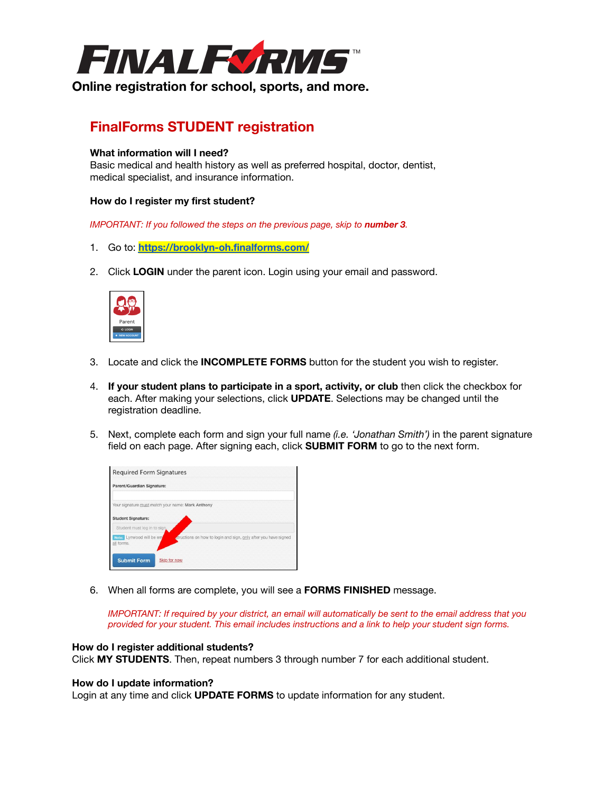

**Online registration for school, sports, and more.**

# **FinalForms STUDENT registration**

#### **What information will I need?**

Basic medical and health history as well as preferred hospital, doctor, dentist, medical specialist, and insurance information.

#### **How do I register my first student?**

*IMPORTANT: If you followed the steps on the previous page, skip to number 3.*

- 1. Go to: **<https://brooklyn-oh.finalforms.com/>**
- 2. Click **LOGIN** under the parent icon. Login using your email and password.



- 3. Locate and click the **INCOMPLETE FORMS** button for the student you wish to register.
- 4. **If your student plans to participate in a sport, activity, or club** then click the checkbox for each. After making your selections, click **UPDATE**. Selections may be changed until the registration deadline.
- 5. Next, complete each form and sign your full name *(i.e. 'Jonathan Smith')* in the parent signature field on each page. After signing each, click **SUBMIT FORM** to go to the next form.



6. When all forms are complete, you will see a **FORMS FINISHED** message.

*IMPORTANT: If required by your district, an email will automatically be sent to the email address that you provided for your student. This email includes instructions and a link to help your student sign forms.*

#### **How do I register additional students?**

Click **MY STUDENTS**. Then, repeat numbers 3 through number 7 for each additional student.

#### **How do I update information?**

Login at any time and click **UPDATE FORMS** to update information for any student.